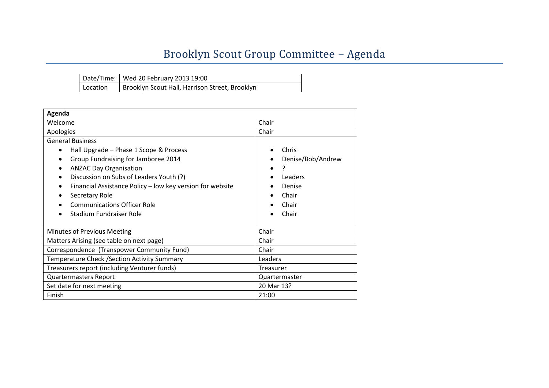## Brooklyn Scout Group Committee – Agenda

|          | Date/Time:   Wed 20 February 2013 19:00        |
|----------|------------------------------------------------|
| Location | Brooklyn Scout Hall, Harrison Street, Brooklyn |

| Agenda                                                                                                                                                                                                                                                                                                                                                 |                                                                            |  |  |
|--------------------------------------------------------------------------------------------------------------------------------------------------------------------------------------------------------------------------------------------------------------------------------------------------------------------------------------------------------|----------------------------------------------------------------------------|--|--|
| Welcome                                                                                                                                                                                                                                                                                                                                                | Chair                                                                      |  |  |
| Apologies                                                                                                                                                                                                                                                                                                                                              | Chair                                                                      |  |  |
| <b>General Business</b><br>Hall Upgrade - Phase 1 Scope & Process<br>$\bullet$<br>Group Fundraising for Jamboree 2014<br><b>ANZAC Day Organisation</b><br>Discussion on Subs of Leaders Youth (?)<br>Financial Assistance Policy - low key version for website<br>٠<br>Secretary Role<br><b>Communications Officer Role</b><br>Stadium Fundraiser Role | Chris<br>Denise/Bob/Andrew<br>Leaders<br>Denise<br>Chair<br>Chair<br>Chair |  |  |
| Minutes of Previous Meeting                                                                                                                                                                                                                                                                                                                            | Chair                                                                      |  |  |
| Matters Arising (see table on next page)                                                                                                                                                                                                                                                                                                               | Chair                                                                      |  |  |
| Correspondence (Transpower Community Fund)                                                                                                                                                                                                                                                                                                             | Chair                                                                      |  |  |
| Temperature Check / Section Activity Summary                                                                                                                                                                                                                                                                                                           | Leaders                                                                    |  |  |
| Treasurers report (including Venturer funds)                                                                                                                                                                                                                                                                                                           | Treasurer                                                                  |  |  |
| <b>Quartermasters Report</b>                                                                                                                                                                                                                                                                                                                           | Quartermaster                                                              |  |  |
| Set date for next meeting                                                                                                                                                                                                                                                                                                                              | 20 Mar 13?                                                                 |  |  |
| Finish                                                                                                                                                                                                                                                                                                                                                 | 21:00                                                                      |  |  |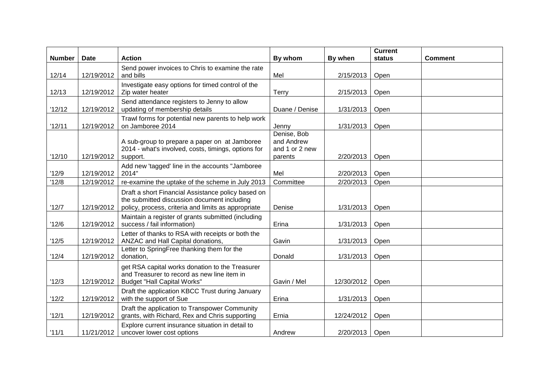| <b>Number</b> | <b>Date</b> | <b>Action</b>                                                                                                                                            | By whom                                                | By when    | <b>Current</b><br>status | <b>Comment</b> |
|---------------|-------------|----------------------------------------------------------------------------------------------------------------------------------------------------------|--------------------------------------------------------|------------|--------------------------|----------------|
| 12/14         | 12/19/2012  | Send power invoices to Chris to examine the rate<br>and bills                                                                                            | Mel                                                    | 2/15/2013  | Open                     |                |
| 12/13         | 12/19/2012  | Investigate easy options for timed control of the<br>Zip water heater                                                                                    | <b>Terry</b>                                           | 2/15/2013  | Open                     |                |
| '12/12        | 12/19/2012  | Send attendance registers to Jenny to allow<br>updating of membership details                                                                            | Duane / Denise                                         | 1/31/2013  | Open                     |                |
| '12/11        | 12/19/2012  | Trawl forms for potential new parents to help work<br>on Jamboree 2014                                                                                   | Jenny                                                  | 1/31/2013  | Open                     |                |
| '12/10        | 12/19/2012  | A sub-group to prepare a paper on at Jamboree<br>2014 - what's involved, costs, timings, options for<br>support.                                         | Denise, Bob<br>and Andrew<br>and 1 or 2 new<br>parents | 2/20/2013  | Open                     |                |
| '12/9         | 12/19/2012  | Add new 'tagged' line in the accounts "Jamboree<br>2014"                                                                                                 | Mel                                                    | 2/20/2013  | Open                     |                |
| 12/8          | 12/19/2012  | re-examine the uptake of the scheme in July 2013                                                                                                         | Committee                                              | 2/20/2013  | Open                     |                |
| '12/7         | 12/19/2012  | Draft a short Financial Assistance policy based on<br>the submitted discussion document including<br>policy, process, criteria and limits as appropriate | Denise                                                 | 1/31/2013  | Open                     |                |
| 12/6          | 12/19/2012  | Maintain a register of grants submitted (including<br>success / fail information)                                                                        | Erina                                                  | 1/31/2013  | Open                     |                |
| '12/5         | 12/19/2012  | Letter of thanks to RSA with receipts or both the<br>ANZAC and Hall Capital donations,                                                                   | Gavin                                                  | 1/31/2013  | Open                     |                |
| '12/4         | 12/19/2012  | Letter to SpringFree thanking them for the<br>donation,                                                                                                  | Donald                                                 | 1/31/2013  | Open                     |                |
| '12/3         | 12/19/2012  | get RSA capital works donation to the Treasurer<br>and Treasurer to record as new line item in<br><b>Budget "Hall Capital Works"</b>                     | Gavin / Mel                                            | 12/30/2012 | Open                     |                |
| 12/2          | 12/19/2012  | Draft the application KBCC Trust during January<br>with the support of Sue                                                                               | Erina                                                  | 1/31/2013  | Open                     |                |
| '12/1         | 12/19/2012  | Draft the application to Transpower Community<br>grants, with Richard, Rex and Chris supporting                                                          | Ernia                                                  | 12/24/2012 | Open                     |                |
| '11/1         | 11/21/2012  | Explore current insurance situation in detail to<br>uncover lower cost options                                                                           | Andrew                                                 | 2/20/2013  | Open                     |                |